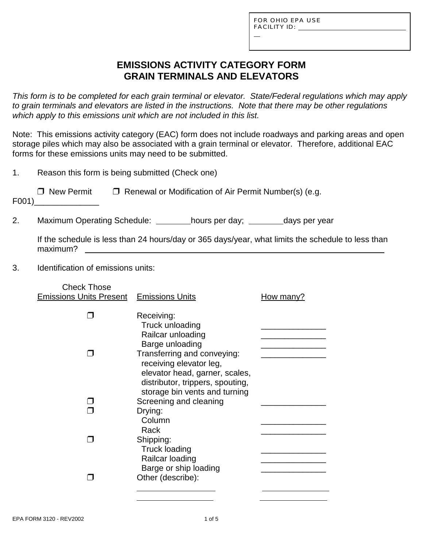L

# **EMISSIONS ACTIVITY CATEGORY FORM GRAIN TERMINALS AND ELEVATORS**

*This form is to be completed for each grain terminal or elevator. State/Federal regulations which may apply to grain terminals and elevators are listed in the instructions. Note that there may be other regulations which apply to this emissions unit which are not included in this list.*

Note: This emissions activity category (EAC) form does not include roadways and parking areas and open storage piles which may also be associated with a grain terminal or elevator. Therefore, additional EAC forms for these emissions units may need to be submitted.

| Reason this form is being submitted (Check one)                                                                                                                            |                                                                       |                                                                                                                                                                                                                    |  |  |
|----------------------------------------------------------------------------------------------------------------------------------------------------------------------------|-----------------------------------------------------------------------|--------------------------------------------------------------------------------------------------------------------------------------------------------------------------------------------------------------------|--|--|
| $\Box$ New Permit                                                                                                                                                          |                                                                       |                                                                                                                                                                                                                    |  |  |
|                                                                                                                                                                            |                                                                       |                                                                                                                                                                                                                    |  |  |
| If the schedule is less than 24 hours/day or 365 days/year, what limits the schedule to less than<br>maximum?<br><u> 1980 - John Stein, Amerikaansk politiker (* 1918)</u> |                                                                       |                                                                                                                                                                                                                    |  |  |
| Identification of emissions units:                                                                                                                                         |                                                                       |                                                                                                                                                                                                                    |  |  |
| <b>Check Those</b>                                                                                                                                                         |                                                                       | How many?                                                                                                                                                                                                          |  |  |
|                                                                                                                                                                            | Receiving:<br>Truck unloading<br>Railcar unloading<br>Barge unloading | the control of the control of the control of the control of the control of                                                                                                                                         |  |  |
|                                                                                                                                                                            | F001)                                                                 | $\Box$ Renewal or Modification of Air Permit Number(s) (e.g.<br>Maximum Operating Schedule: hours per day; ________ days per year<br><b>Emissions Units Present Emissions Units</b><br>Transferring and conveying: |  |  |

| Transferring and conveying:<br>receiving elevator leg,             |  |
|--------------------------------------------------------------------|--|
| elevator head, garner, scales,<br>distributor, trippers, spouting, |  |
| storage bin vents and turning                                      |  |
| Screening and cleaning                                             |  |
| Drying:                                                            |  |
| Column                                                             |  |
| Rack                                                               |  |
| Shipping:                                                          |  |
| <b>Truck loading</b>                                               |  |
| Railcar loading                                                    |  |
| Barge or ship loading                                              |  |
| Other (describe):                                                  |  |
|                                                                    |  |

 $\overline{a}$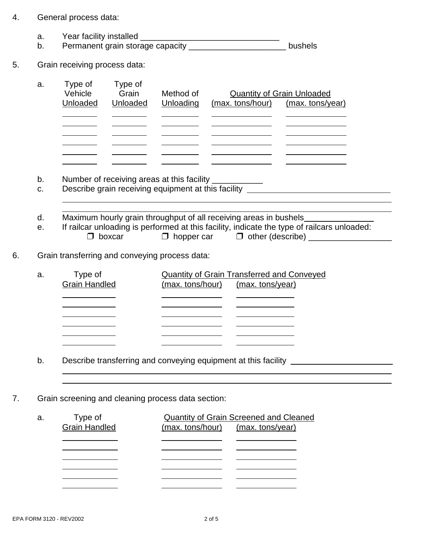| 4. | General process data: |
|----|-----------------------|
|----|-----------------------|

 $\overline{a}$ 

 $\overline{a}$ 

- a. Year facility installed \_\_\_\_\_\_\_\_\_\_\_\_\_\_\_\_\_\_\_\_\_\_\_\_\_\_\_\_\_\_
- b. Permanent grain storage capacity **bushels** bushels
- 5. Grain receiving process data:

| a. | Type of<br>Vehicle<br>Unloaded | Type of<br>Grain<br>Unloaded | Method of<br>Unloading | (max. tons/hour) | <b>Quantity of Grain Unloaded</b><br>(max. tons/year) |
|----|--------------------------------|------------------------------|------------------------|------------------|-------------------------------------------------------|
|    |                                |                              |                        |                  |                                                       |
|    |                                |                              |                        |                  |                                                       |
|    |                                |                              |                        |                  |                                                       |
|    |                                |                              |                        |                  |                                                       |
|    |                                |                              |                        |                  |                                                       |
|    |                                |                              |                        |                  |                                                       |

- b. Number of receiving areas at this facility \_\_\_\_\_\_\_\_\_\_\_
- c. Describe grain receiving equipment at this facility \_\_\_\_\_\_\_\_\_\_\_\_\_\_\_\_\_\_\_\_\_\_\_\_\_
- d. Maximum hourly grain throughput of all receiving areas in bushels
- e. If railcar unloading is performed at this facility, indicate the type of railcars unloaded:  $\Box$  boxcar  $\Box$  hopper car  $\Box$  other (describe)

l

 $\overline{a}$ 

6. Grain transferring and conveying process data:

| a. | Type of              | <b>Quantity of Grain Transferred and Conveyed</b> |  |  |  |
|----|----------------------|---------------------------------------------------|--|--|--|
|    | <b>Grain Handled</b> | (max. tons/hour) (max. tons/year)                 |  |  |  |
|    |                      |                                                   |  |  |  |
|    |                      |                                                   |  |  |  |
|    |                      |                                                   |  |  |  |
|    |                      |                                                   |  |  |  |
|    |                      |                                                   |  |  |  |
|    |                      |                                                   |  |  |  |
|    |                      |                                                   |  |  |  |

- b. Describe transferring and conveying equipment at this facility \_\_\_\_\_\_\_\_\_\_\_\_\_\_\_
- 7. Grain screening and cleaning process data section:

| а. | Type of              | <b>Quantity of Grain Screened and Cleaned</b> |  |  |  |
|----|----------------------|-----------------------------------------------|--|--|--|
|    | <b>Grain Handled</b> | (max. tons/hour) (max. tons/year)             |  |  |  |
|    |                      |                                               |  |  |  |
|    |                      |                                               |  |  |  |
|    |                      |                                               |  |  |  |
|    |                      |                                               |  |  |  |
|    |                      |                                               |  |  |  |
|    |                      |                                               |  |  |  |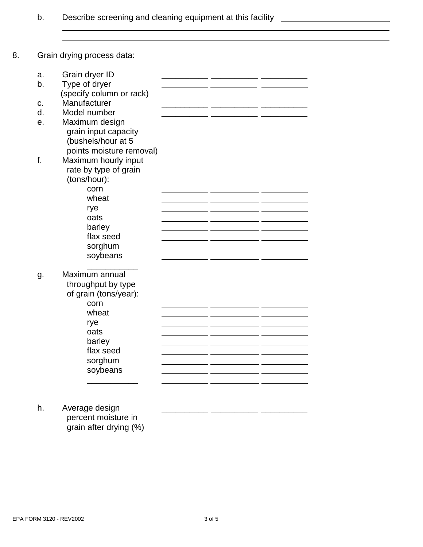b. Describe screening and cleaning equipment at this facility \_\_\_\_\_\_\_\_\_\_\_\_\_\_\_\_\_\_

 $\overline{a}$ 

8. Grain drying process data:

 $\overline{a}$ 

| a. | Grain dryer ID           |  |  |
|----|--------------------------|--|--|
| b. | Type of dryer            |  |  |
|    | (specify column or rack) |  |  |
| c. | Manufacturer             |  |  |
| d. | Model number             |  |  |
| e. | Maximum design           |  |  |
|    | grain input capacity     |  |  |
|    | (bushels/hour at 5       |  |  |
|    | points moisture removal) |  |  |
| f. | Maximum hourly input     |  |  |
|    | rate by type of grain    |  |  |
|    | (tons/hour):             |  |  |
|    | corn                     |  |  |
|    | wheat                    |  |  |
|    | rye                      |  |  |
|    | oats                     |  |  |
|    | barley                   |  |  |
|    | flax seed                |  |  |
|    | sorghum                  |  |  |
|    | soybeans                 |  |  |
|    |                          |  |  |
| g. | Maximum annual           |  |  |
|    | throughput by type       |  |  |
|    | of grain (tons/year):    |  |  |
|    | corn                     |  |  |
|    | wheat                    |  |  |
|    | rye<br>oats              |  |  |
|    | barley                   |  |  |
|    | flax seed                |  |  |
|    | sorghum                  |  |  |
|    | soybeans                 |  |  |
|    |                          |  |  |
|    |                          |  |  |
|    |                          |  |  |
| h. | Average design           |  |  |

 percent moisture in grain after drying (%)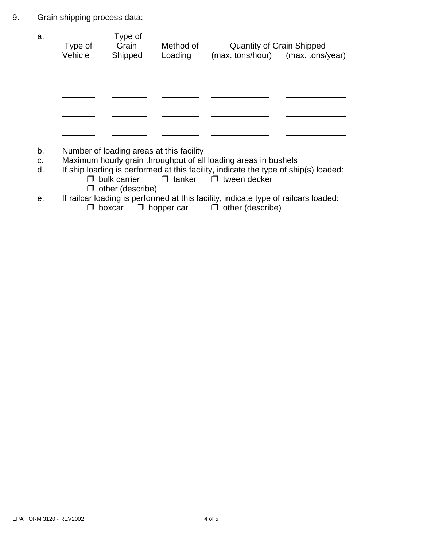9. Grain shipping process data:

| a. | Type of | Type of<br>Grain | Method of | <b>Quantity of Grain Shipped</b> |                  |
|----|---------|------------------|-----------|----------------------------------|------------------|
|    | Vehicle | Shipped          | Loading   | (max. tons/hour)                 | (max. tons/year) |
|    |         |                  |           |                                  |                  |
|    |         |                  |           |                                  |                  |
|    |         |                  |           |                                  |                  |
|    |         |                  |           |                                  |                  |
|    |         |                  |           |                                  |                  |
|    |         |                  |           |                                  |                  |
|    |         |                  |           |                                  |                  |
|    |         |                  |           |                                  |                  |

- b. Number of loading areas at this facility \_\_\_\_\_\_\_\_\_\_
- c. Maximum hourly grain throughput of all loading areas in bushels \_\_\_\_\_\_\_
- d. If ship loading is performed at this facility, indicate the type of ship(s) loaded:<br>  $\Box$  bulk carrier  $\Box$  tanker  $\Box$  tween decker
	- $\Box$  tanker  $\Box$  tween decker
		- $\Box$  other (describe)  $\Box$
- e. If railcar loading is performed at this facility, indicate type of railcars loaded:<br>  $\Box$  boxcar  $\Box$  hopper car  $\Box$  other (describe)
	-
- " boxcar " hopper car " other (describe) \_\_\_\_\_\_\_\_\_\_\_\_\_\_\_\_\_\_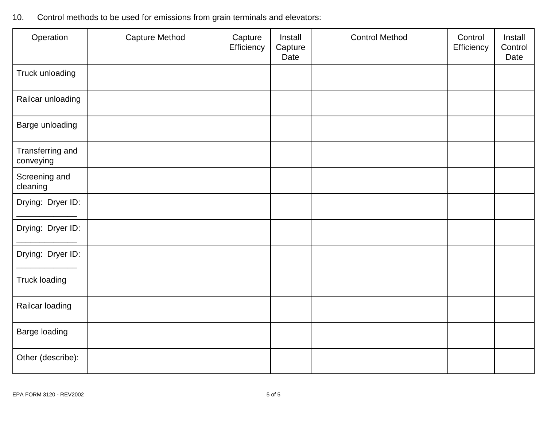| Operation                     | <b>Capture Method</b> | Capture<br>Efficiency | Install<br>Capture<br>Date | <b>Control Method</b> | Control<br>Efficiency | Install<br>Control<br>Date |
|-------------------------------|-----------------------|-----------------------|----------------------------|-----------------------|-----------------------|----------------------------|
| Truck unloading               |                       |                       |                            |                       |                       |                            |
| Railcar unloading             |                       |                       |                            |                       |                       |                            |
| Barge unloading               |                       |                       |                            |                       |                       |                            |
| Transferring and<br>conveying |                       |                       |                            |                       |                       |                            |
| Screening and<br>cleaning     |                       |                       |                            |                       |                       |                            |
| Drying: Dryer ID:             |                       |                       |                            |                       |                       |                            |
| Drying: Dryer ID:             |                       |                       |                            |                       |                       |                            |
| Drying: Dryer ID:             |                       |                       |                            |                       |                       |                            |
| <b>Truck loading</b>          |                       |                       |                            |                       |                       |                            |
| Railcar loading               |                       |                       |                            |                       |                       |                            |
| Barge loading                 |                       |                       |                            |                       |                       |                            |
| Other (describe):             |                       |                       |                            |                       |                       |                            |

10. Control methods to be used for emissions from grain terminals and elevators: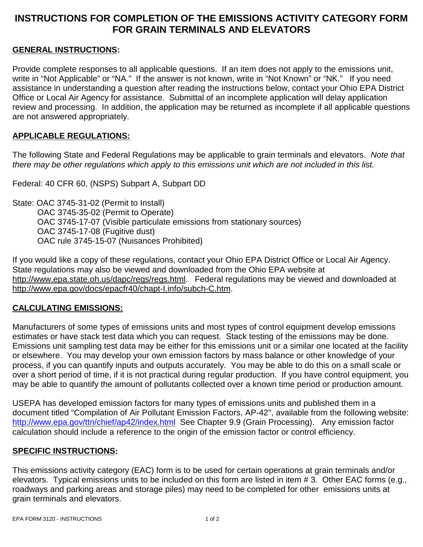## **INSTRUCTIONS FOR COMPLETION OF THE EMISSIONS ACTIVITY CATEGORY FORM FOR GRAIN TERMINALS AND ELEVATORS**

### **GENERAL INSTRUCTIONS:**

Provide complete responses to all applicable questions. If an item does not apply to the emissions unit, write in "Not Applicable" or "NA." If the answer is not known, write in "Not Known" or "NK." If you need assistance in understanding a question after reading the instructions below, contact your Ohio EPA District Office or Local Air Agency for assistance. Submittal of an incomplete application will delay application review and processing. In addition, the application may be returned as incomplete if all applicable questions are not answered appropriately.

#### **APPLICABLE REGULATIONS:**

The following State and Federal Regulations may be applicable to grain terminals and elevators. *Note that there may be other regulations which apply to this emissions unit which are not included in this list.*

Federal: 40 CFR 60, (NSPS) Subpart A, Subpart DD

State: OAC 3745-31-02 (Permit to Install) OAC 3745-35-02 (Permit to Operate) OAC 3745-17-07 (Visible particulate emissions from stationary sources) OAC 3745-17-08 (Fugitive dust) OAC rule 3745-15-07 (Nuisances Prohibited)

If you would like a copy of these regulations, contact your Ohio EPA District Office or Local Air Agency. State regulations may also be viewed and downloaded from the Ohio EPA website at http://www.epa.state.oh.us/dapc/regs/regs.html. Federal regulations may be viewed and downloaded at http://www.epa.gov/docs/epacfr40/chapt-I.info/subch-C.htm.

#### **CALCULATING EMISSIONS:**

Manufacturers of some types of emissions units and most types of control equipment develop emissions estimates or have stack test data which you can request. Stack testing of the emissions may be done. Emissions unit sampling test data may be either for this emissions unit or a similar one located at the facility or elsewhere. You may develop your own emission factors by mass balance or other knowledge of your process, if you can quantify inputs and outputs accurately. You may be able to do this on a small scale or over a short period of time, if it is not practical during regular production. If you have control equipment, you may be able to quantify the amount of pollutants collected over a known time period or production amount.

USEPA has developed emission factors for many types of emissions units and published them in a document titled "Compilation of Air Pollutant Emission Factors, AP-42", available from the following website: http://www.epa.gov/ttn/chief/ap42/index.html See Chapter 9.9 (Grain Processing). Any emission factor calculation should include a reference to the origin of the emission factor or control efficiency.

#### **SPECIFIC INSTRUCTIONS:**

This emissions activity category (EAC) form is to be used for certain operations at grain terminals and/or elevators. Typical emissions units to be included on this form are listed in item # 3. Other EAC forms (e.g., roadways and parking areas and storage piles) may need to be completed for other emissions units at grain terminals and elevators.